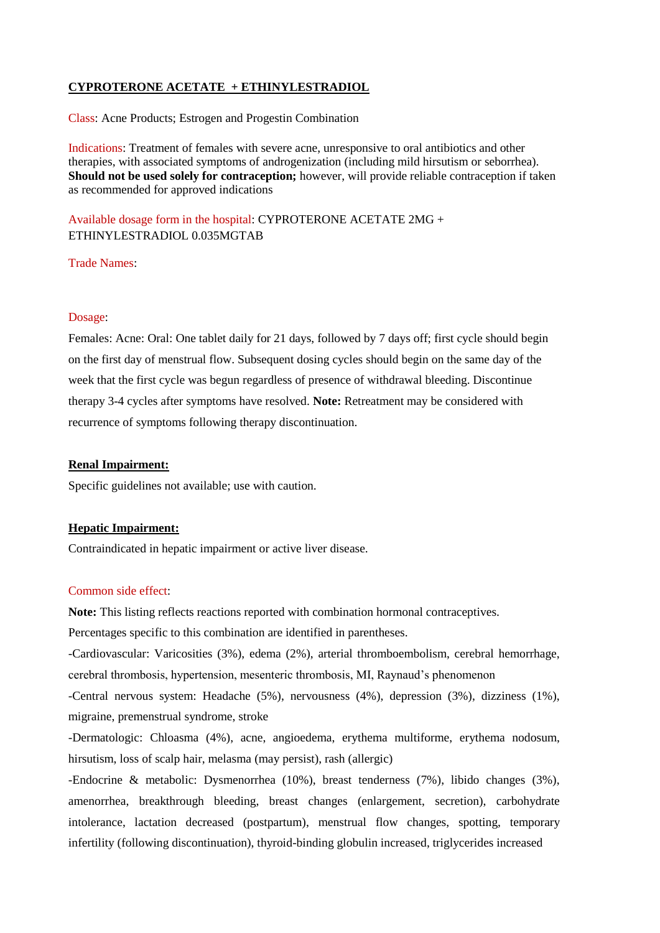# **CYPROTERONE ACETATE + ETHINYLESTRADIOL**

Class: Acne Products; Estrogen and Progestin Combination

Indications: Treatment of females with severe acne, unresponsive to oral antibiotics and other therapies, with associated symptoms of androgenization (including mild hirsutism or seborrhea). **Should not be used solely for contraception;** however, will provide reliable contraception if taken as recommended for approved indications

Available dosage form in the hospital: CYPROTERONE ACETATE 2MG + ETHINYLESTRADIOL 0.035MGTAB

Trade Names:

#### Dosage:

Females: Acne: Oral: One tablet daily for 21 days, followed by 7 days off; first cycle should begin on the first day of menstrual flow. Subsequent dosing cycles should begin on the same day of the week that the first cycle was begun regardless of presence of withdrawal bleeding. Discontinue therapy 3-4 cycles after symptoms have resolved. **Note:** Retreatment may be considered with recurrence of symptoms following therapy discontinuation.

### **Renal Impairment:**

Specific guidelines not available; use with caution.

# **Hepatic Impairment:**

Contraindicated in hepatic impairment or active liver disease.

# Common side effect:

**Note:** This listing reflects reactions reported with combination hormonal contraceptives.

Percentages specific to this combination are identified in parentheses.

-Cardiovascular: Varicosities (3%), edema (2%), arterial thromboembolism, cerebral hemorrhage, cerebral thrombosis, hypertension, mesenteric thrombosis, MI, Raynaud's phenomenon

-Central nervous system: Headache (5%), nervousness (4%), depression (3%), dizziness (1%), migraine, premenstrual syndrome, stroke

-Dermatologic: Chloasma (4%), acne, angioedema, erythema multiforme, erythema nodosum, hirsutism, loss of scalp hair, melasma (may persist), rash (allergic)

-Endocrine & metabolic: Dysmenorrhea (10%), breast tenderness (7%), libido changes (3%), amenorrhea, breakthrough bleeding, breast changes (enlargement, secretion), carbohydrate intolerance, lactation decreased (postpartum), menstrual flow changes, spotting, temporary infertility (following discontinuation), thyroid-binding globulin increased, triglycerides increased